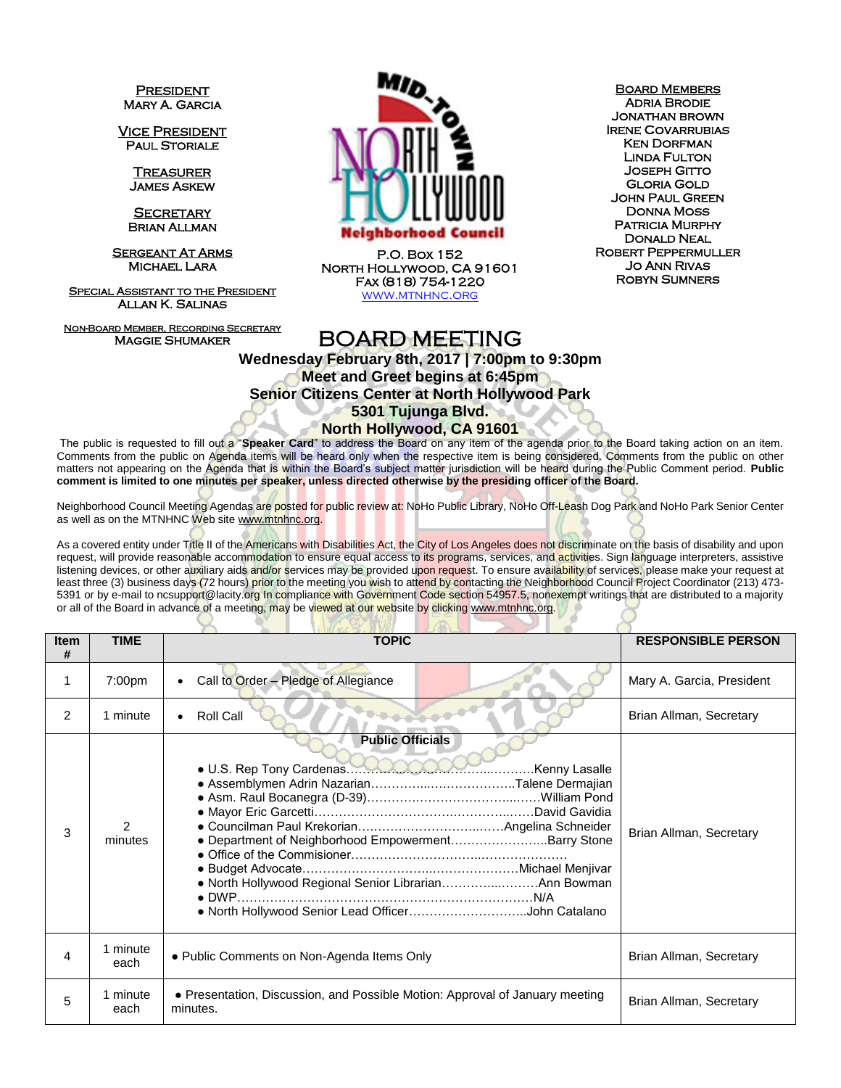**PRESIDENT** Mary A. Garcia

Vice President **PAUL STORIALE** 

> **TREASURER** James Askew

**SECRETARY** Brian Allman

**SERGEANT AT ARMS** Michael Lara

**SPECIAL ASSISTANT TO THE PRESIDENT** Allan K. Salinas

Non-Board Member, Recording Secretary Maggie Shumaker



P.O. Box 152 North Hollywood, CA 91601 Fax (818) 754-1220 WWW.MTNHNC.ORG

**BOARD MEMBERS** Adria Brodie Jonathan brown Irene Covarrubias **KEN DORFMAN** Linda Fulton Joseph Gitto Gloria Gold John Paul Green Donna Moss PATRICIA MURPHY Donald Neal Robert Peppermuller Jo Ann Rivas Robyn Sumners

## BOARD MEETING

**Wednesday February 8th, 2017 | 7:00pm to 9:30pm Meet and Greet begins at 6:45pm Senior Citizens Center at North Hollywood Park 5301 Tujunga Blvd. North Hollywood, CA 91601**

The public is requested to fill out a "**Speaker Card**" to address the Board on any item of the agenda prior to the Board taking action on an item. Comments from the public on Agenda items will be heard only when the respective item is being considered. Comments from the public on other matters not appearing on the Agenda that is within the Board's subject matter jurisdiction will be heard during the Public Comment period. **Public comment is limited to one minutes per speaker, unless directed otherwise by the presiding officer of the Board.** 

Neighborhood Council Meeting Agendas are posted for public review at: NoHo Public Library, NoHo Off-Leash Dog Park and NoHo Park Senior Center as well as on the MTNHNC Web sit[e www.mtnhnc.org.](http://www.mtnhnc.org/)

As a covered entity under Title II of the Americans with Disabilities Act, the City of Los Angeles does not discriminate on the basis of disability and upon request, will provide reasonable accommodation to ensure equal access to its programs, services, and activities. Sign language interpreters, assistive listening devices, or other auxiliary aids and/or services may be provided upon request. To ensure availability of services, please make your request at least three (3) business days (72 hours) prior to the meeting you wish to attend by contacting the Neighborhood Council Project Coordinator (213) 473-5391 or by e-mail to ncsupport@lacity.org In compliance with Government Code section 54957.5, nonexempt writings that are distributed to a majority or all of the Board in advance of a meeting, may be viewed at our website by clicking www.mtnhnc.org.

| <b>Item</b><br># | <b>TIME</b>      | <b>TOPIC</b>                                                                                                                                                                                  | <b>RESPONSIBLE PERSON</b> |
|------------------|------------------|-----------------------------------------------------------------------------------------------------------------------------------------------------------------------------------------------|---------------------------|
|                  | 7:00pm           | Call to Order - Pledge of Allegiance<br>$\bullet$                                                                                                                                             | Mary A. Garcia, President |
| $\mathcal{P}$    | 1 minute         | Roll Call                                                                                                                                                                                     | Brian Allman, Secretary   |
| 3                | 2<br>minutes     | <b>Public Officials</b><br>· Department of Neighborhood EmpowermentBarry Stone<br>. North Hollywood Regional Senior LibrarianAnn Bowman<br>. North Hollywood Senior Lead OfficerJohn Catalano | Brian Allman, Secretary   |
| 4                | minute<br>each   | • Public Comments on Non-Agenda Items Only                                                                                                                                                    | Brian Allman, Secretary   |
| 5                | 1 minute<br>each | • Presentation, Discussion, and Possible Motion: Approval of January meeting<br>minutes.                                                                                                      | Brian Allman, Secretary   |